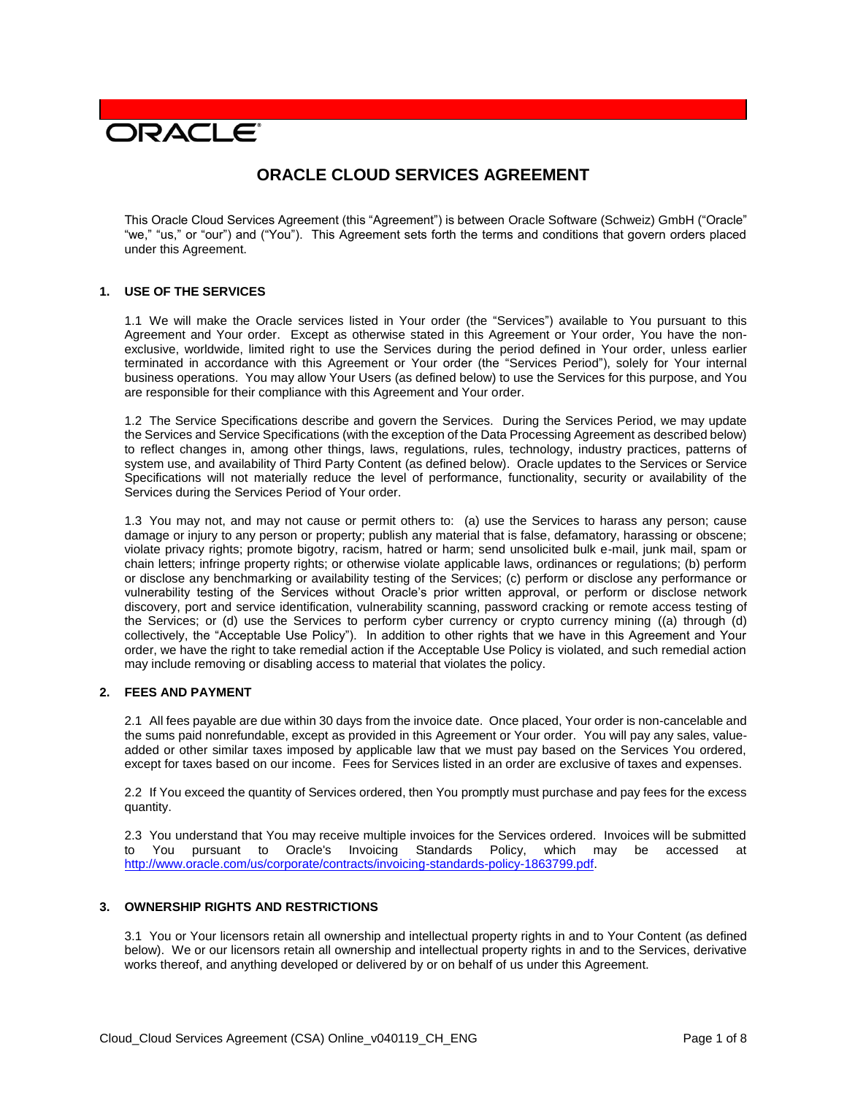# **DRACLE**

## **ORACLE CLOUD SERVICES AGREEMENT**

This Oracle Cloud Services Agreement (this "Agreement") is between Oracle Software (Schweiz) GmbH ("Oracle" "we," "us," or "our") and ("You"). This Agreement sets forth the terms and conditions that govern orders placed under this Agreement.

#### **1. USE OF THE SERVICES**

1.1 We will make the Oracle services listed in Your order (the "Services") available to You pursuant to this Agreement and Your order. Except as otherwise stated in this Agreement or Your order, You have the nonexclusive, worldwide, limited right to use the Services during the period defined in Your order, unless earlier terminated in accordance with this Agreement or Your order (the "Services Period"), solely for Your internal business operations. You may allow Your Users (as defined below) to use the Services for this purpose, and You are responsible for their compliance with this Agreement and Your order.

1.2 The Service Specifications describe and govern the Services. During the Services Period, we may update the Services and Service Specifications (with the exception of the Data Processing Agreement as described below) to reflect changes in, among other things, laws, regulations, rules, technology, industry practices, patterns of system use, and availability of Third Party Content (as defined below). Oracle updates to the Services or Service Specifications will not materially reduce the level of performance, functionality, security or availability of the Services during the Services Period of Your order.

1.3 You may not, and may not cause or permit others to: (a) use the Services to harass any person; cause damage or injury to any person or property; publish any material that is false, defamatory, harassing or obscene; violate privacy rights; promote bigotry, racism, hatred or harm; send unsolicited bulk e-mail, junk mail, spam or chain letters; infringe property rights; or otherwise violate applicable laws, ordinances or regulations; (b) perform or disclose any benchmarking or availability testing of the Services; (c) perform or disclose any performance or vulnerability testing of the Services without Oracle's prior written approval, or perform or disclose network discovery, port and service identification, vulnerability scanning, password cracking or remote access testing of the Services; or (d) use the Services to perform cyber currency or crypto currency mining ((a) through (d) collectively, the "Acceptable Use Policy"). In addition to other rights that we have in this Agreement and Your order, we have the right to take remedial action if the Acceptable Use Policy is violated, and such remedial action may include removing or disabling access to material that violates the policy.

### **2. FEES AND PAYMENT**

2.1 All fees payable are due within 30 days from the invoice date. Once placed, Your order is non-cancelable and the sums paid nonrefundable, except as provided in this Agreement or Your order. You will pay any sales, valueadded or other similar taxes imposed by applicable law that we must pay based on the Services You ordered, except for taxes based on our income. Fees for Services listed in an order are exclusive of taxes and expenses.

2.2 If You exceed the quantity of Services ordered, then You promptly must purchase and pay fees for the excess quantity.

2.3 You understand that You may receive multiple invoices for the Services ordered. Invoices will be submitted to You pursuant to Oracle's Invoicing Standards Policy, which may be accessed at [http://www.oracle.com/us/corporate/contracts/invoicing-standards-policy-1863799.pdf.](http://www.oracle.com/us/corporate/contracts/invoicing-standards-policy-1863799.pdf)

#### **3. OWNERSHIP RIGHTS AND RESTRICTIONS**

3.1 You or Your licensors retain all ownership and intellectual property rights in and to Your Content (as defined below). We or our licensors retain all ownership and intellectual property rights in and to the Services, derivative works thereof, and anything developed or delivered by or on behalf of us under this Agreement.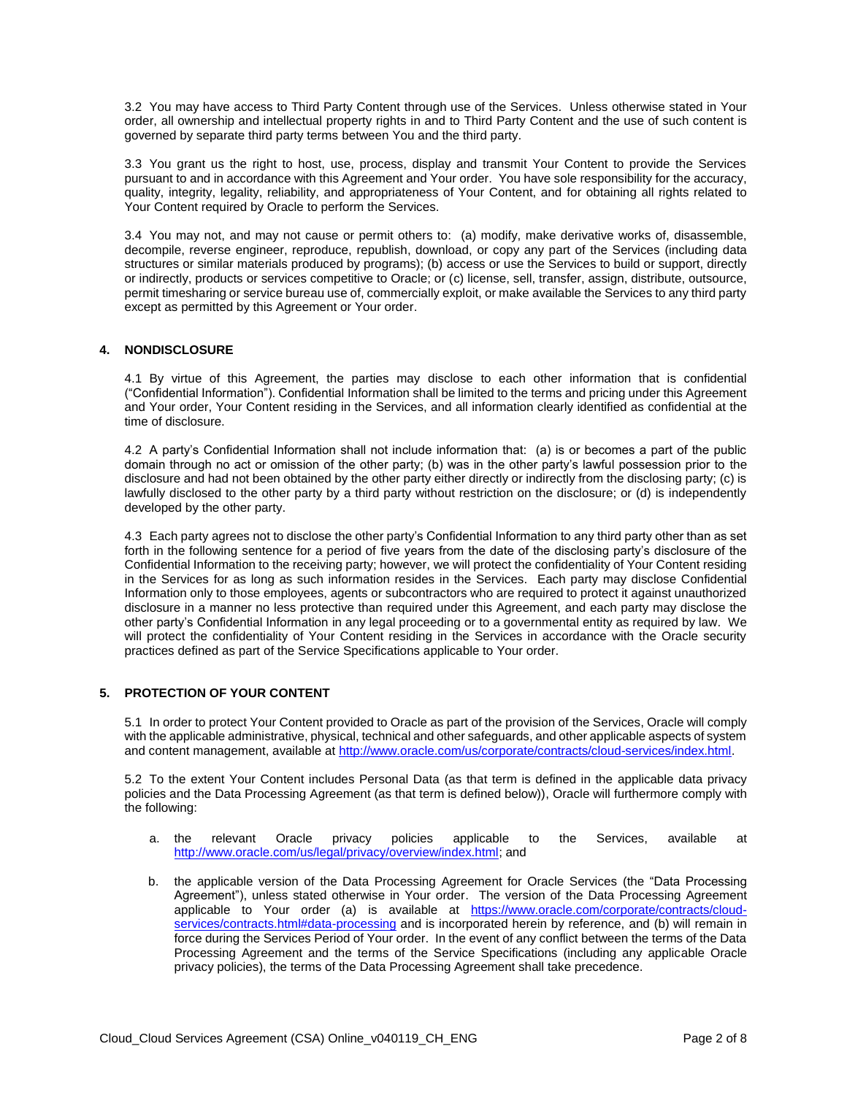3.2 You may have access to Third Party Content through use of the Services. Unless otherwise stated in Your order, all ownership and intellectual property rights in and to Third Party Content and the use of such content is governed by separate third party terms between You and the third party.

3.3 You grant us the right to host, use, process, display and transmit Your Content to provide the Services pursuant to and in accordance with this Agreement and Your order. You have sole responsibility for the accuracy, quality, integrity, legality, reliability, and appropriateness of Your Content, and for obtaining all rights related to Your Content required by Oracle to perform the Services.

3.4 You may not, and may not cause or permit others to: (a) modify, make derivative works of, disassemble, decompile, reverse engineer, reproduce, republish, download, or copy any part of the Services (including data structures or similar materials produced by programs); (b) access or use the Services to build or support, directly or indirectly, products or services competitive to Oracle; or (c) license, sell, transfer, assign, distribute, outsource, permit timesharing or service bureau use of, commercially exploit, or make available the Services to any third party except as permitted by this Agreement or Your order.

#### **4. NONDISCLOSURE**

4.1 By virtue of this Agreement, the parties may disclose to each other information that is confidential ("Confidential Information"). Confidential Information shall be limited to the terms and pricing under this Agreement and Your order, Your Content residing in the Services, and all information clearly identified as confidential at the time of disclosure.

4.2 A party's Confidential Information shall not include information that: (a) is or becomes a part of the public domain through no act or omission of the other party; (b) was in the other party's lawful possession prior to the disclosure and had not been obtained by the other party either directly or indirectly from the disclosing party; (c) is lawfully disclosed to the other party by a third party without restriction on the disclosure; or (d) is independently developed by the other party.

4.3 Each party agrees not to disclose the other party's Confidential Information to any third party other than as set forth in the following sentence for a period of five years from the date of the disclosing party's disclosure of the Confidential Information to the receiving party; however, we will protect the confidentiality of Your Content residing in the Services for as long as such information resides in the Services. Each party may disclose Confidential Information only to those employees, agents or subcontractors who are required to protect it against unauthorized disclosure in a manner no less protective than required under this Agreement, and each party may disclose the other party's Confidential Information in any legal proceeding or to a governmental entity as required by law. We will protect the confidentiality of Your Content residing in the Services in accordance with the Oracle security practices defined as part of the Service Specifications applicable to Your order.

#### **5. PROTECTION OF YOUR CONTENT**

5.1 In order to protect Your Content provided to Oracle as part of the provision of the Services, Oracle will comply with the applicable administrative, physical, technical and other safeguards, and other applicable aspects of system and content management, available at [http://www.oracle.com/us/corporate/contracts/cloud-services/index.html.](http://www.oracle.com/us/corporate/contracts/cloud-services/index.html)

5.2 To the extent Your Content includes Personal Data (as that term is defined in the applicable data privacy policies and the Data Processing Agreement (as that term is defined below)), Oracle will furthermore comply with the following:

- a. the relevant Oracle privacy policies applicable to the Services, available at [http://www.oracle.com/us/legal/privacy/overview/index.html;](http://www.oracle.com/us/legal/privacy/overview/index.html) and
- b. the applicable version of the Data Processing Agreement for Oracle Services (the "Data Processing Agreement"), unless stated otherwise in Your order. The version of the Data Processing Agreement applicable to Your order (a) is available at [https://www.oracle.com/corporate/contracts/cloud](https://www.oracle.com/corporate/contracts/cloud-services/contracts.html#data-processing)[services/contracts.html#data-processing](https://www.oracle.com/corporate/contracts/cloud-services/contracts.html#data-processing) and is incorporated herein by reference, and (b) will remain in force during the Services Period of Your order. In the event of any conflict between the terms of the Data Processing Agreement and the terms of the Service Specifications (including any applicable Oracle privacy policies), the terms of the Data Processing Agreement shall take precedence.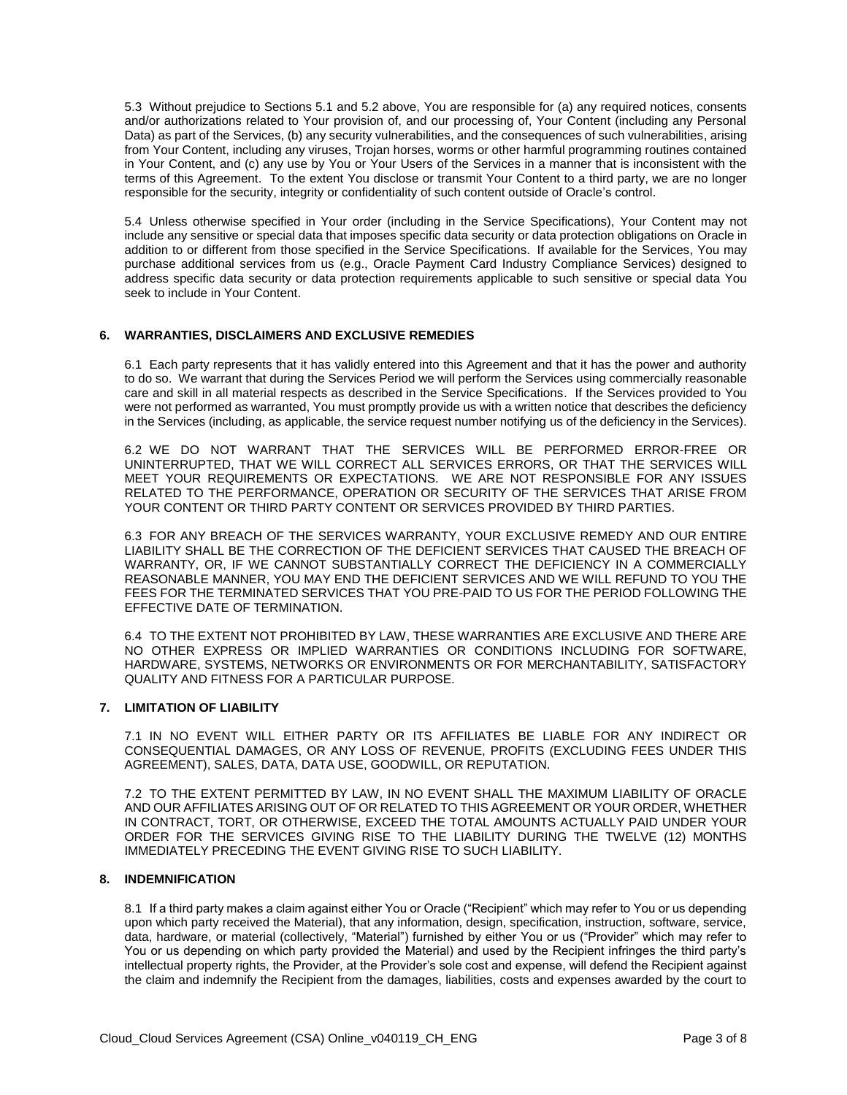5.3 Without prejudice to Sections 5.1 and 5.2 above, You are responsible for (a) any required notices, consents and/or authorizations related to Your provision of, and our processing of, Your Content (including any Personal Data) as part of the Services, (b) any security vulnerabilities, and the consequences of such vulnerabilities, arising from Your Content, including any viruses, Trojan horses, worms or other harmful programming routines contained in Your Content, and (c) any use by You or Your Users of the Services in a manner that is inconsistent with the terms of this Agreement. To the extent You disclose or transmit Your Content to a third party, we are no longer responsible for the security, integrity or confidentiality of such content outside of Oracle's control.

5.4 Unless otherwise specified in Your order (including in the Service Specifications), Your Content may not include any sensitive or special data that imposes specific data security or data protection obligations on Oracle in addition to or different from those specified in the Service Specifications. If available for the Services, You may purchase additional services from us (e.g., Oracle Payment Card Industry Compliance Services) designed to address specific data security or data protection requirements applicable to such sensitive or special data You seek to include in Your Content.

#### **6. WARRANTIES, DISCLAIMERS AND EXCLUSIVE REMEDIES**

6.1 Each party represents that it has validly entered into this Agreement and that it has the power and authority to do so. We warrant that during the Services Period we will perform the Services using commercially reasonable care and skill in all material respects as described in the Service Specifications. If the Services provided to You were not performed as warranted, You must promptly provide us with a written notice that describes the deficiency in the Services (including, as applicable, the service request number notifying us of the deficiency in the Services).

6.2 WE DO NOT WARRANT THAT THE SERVICES WILL BE PERFORMED ERROR-FREE OR UNINTERRUPTED, THAT WE WILL CORRECT ALL SERVICES ERRORS, OR THAT THE SERVICES WILL MEET YOUR REQUIREMENTS OR EXPECTATIONS. WE ARE NOT RESPONSIBLE FOR ANY ISSUES RELATED TO THE PERFORMANCE, OPERATION OR SECURITY OF THE SERVICES THAT ARISE FROM YOUR CONTENT OR THIRD PARTY CONTENT OR SERVICES PROVIDED BY THIRD PARTIES.

6.3 FOR ANY BREACH OF THE SERVICES WARRANTY, YOUR EXCLUSIVE REMEDY AND OUR ENTIRE LIABILITY SHALL BE THE CORRECTION OF THE DEFICIENT SERVICES THAT CAUSED THE BREACH OF WARRANTY, OR, IF WE CANNOT SUBSTANTIALLY CORRECT THE DEFICIENCY IN A COMMERCIALLY REASONABLE MANNER, YOU MAY END THE DEFICIENT SERVICES AND WE WILL REFUND TO YOU THE FEES FOR THE TERMINATED SERVICES THAT YOU PRE-PAID TO US FOR THE PERIOD FOLLOWING THE EFFECTIVE DATE OF TERMINATION.

6.4 TO THE EXTENT NOT PROHIBITED BY LAW, THESE WARRANTIES ARE EXCLUSIVE AND THERE ARE NO OTHER EXPRESS OR IMPLIED WARRANTIES OR CONDITIONS INCLUDING FOR SOFTWARE, HARDWARE, SYSTEMS, NETWORKS OR ENVIRONMENTS OR FOR MERCHANTABILITY, SATISFACTORY QUALITY AND FITNESS FOR A PARTICULAR PURPOSE.

#### **7. LIMITATION OF LIABILITY**

7.1 IN NO EVENT WILL EITHER PARTY OR ITS AFFILIATES BE LIABLE FOR ANY INDIRECT OR CONSEQUENTIAL DAMAGES, OR ANY LOSS OF REVENUE, PROFITS (EXCLUDING FEES UNDER THIS AGREEMENT), SALES, DATA, DATA USE, GOODWILL, OR REPUTATION.

7.2 TO THE EXTENT PERMITTED BY LAW, IN NO EVENT SHALL THE MAXIMUM LIABILITY OF ORACLE AND OUR AFFILIATES ARISING OUT OF OR RELATED TO THIS AGREEMENT OR YOUR ORDER, WHETHER IN CONTRACT, TORT, OR OTHERWISE, EXCEED THE TOTAL AMOUNTS ACTUALLY PAID UNDER YOUR ORDER FOR THE SERVICES GIVING RISE TO THE LIABILITY DURING THE TWELVE (12) MONTHS IMMEDIATELY PRECEDING THE EVENT GIVING RISE TO SUCH LIABILITY.

#### **8. INDEMNIFICATION**

8.1 If a third party makes a claim against either You or Oracle ("Recipient" which may refer to You or us depending upon which party received the Material), that any information, design, specification, instruction, software, service, data, hardware, or material (collectively, "Material") furnished by either You or us ("Provider" which may refer to You or us depending on which party provided the Material) and used by the Recipient infringes the third party's intellectual property rights, the Provider, at the Provider's sole cost and expense, will defend the Recipient against the claim and indemnify the Recipient from the damages, liabilities, costs and expenses awarded by the court to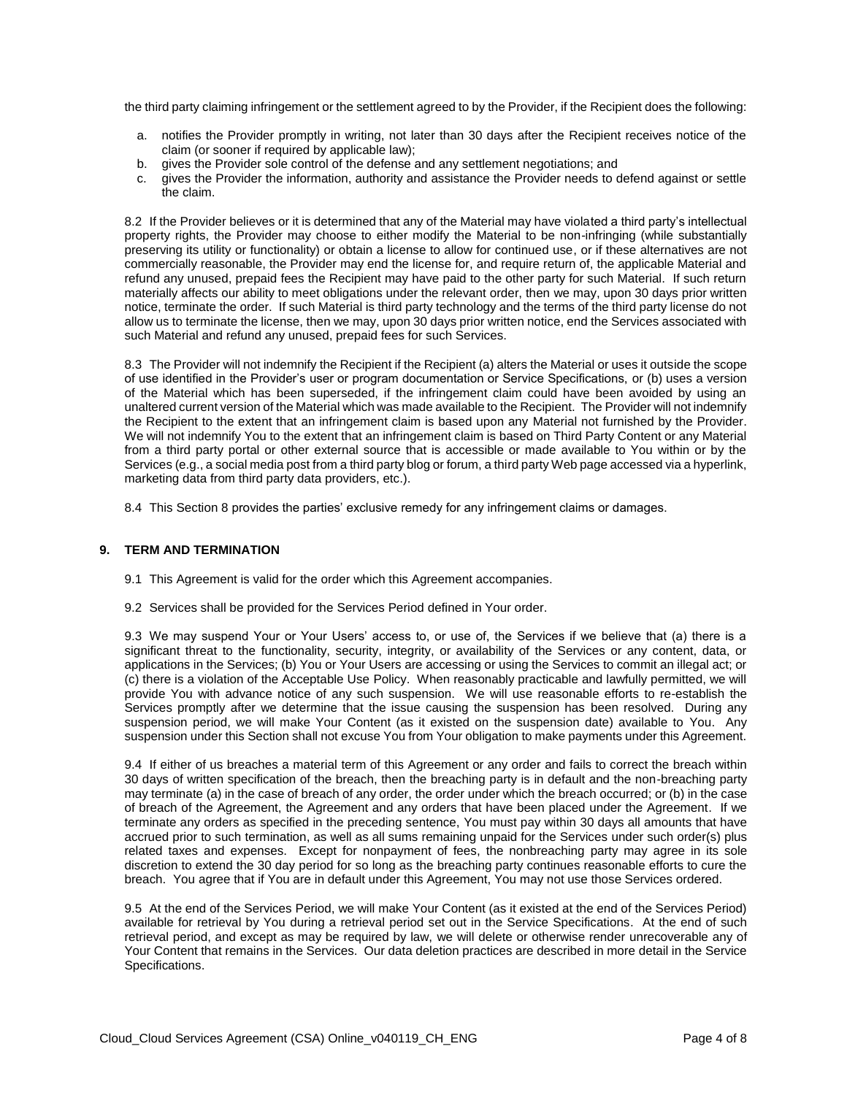the third party claiming infringement or the settlement agreed to by the Provider, if the Recipient does the following:

- a. notifies the Provider promptly in writing, not later than 30 days after the Recipient receives notice of the claim (or sooner if required by applicable law);
- b. gives the Provider sole control of the defense and any settlement negotiations; and
- c. gives the Provider the information, authority and assistance the Provider needs to defend against or settle the claim.

8.2 If the Provider believes or it is determined that any of the Material may have violated a third party's intellectual property rights, the Provider may choose to either modify the Material to be non-infringing (while substantially preserving its utility or functionality) or obtain a license to allow for continued use, or if these alternatives are not commercially reasonable, the Provider may end the license for, and require return of, the applicable Material and refund any unused, prepaid fees the Recipient may have paid to the other party for such Material. If such return materially affects our ability to meet obligations under the relevant order, then we may, upon 30 days prior written notice, terminate the order. If such Material is third party technology and the terms of the third party license do not allow us to terminate the license, then we may, upon 30 days prior written notice, end the Services associated with such Material and refund any unused, prepaid fees for such Services.

8.3 The Provider will not indemnify the Recipient if the Recipient (a) alters the Material or uses it outside the scope of use identified in the Provider's user or program documentation or Service Specifications, or (b) uses a version of the Material which has been superseded, if the infringement claim could have been avoided by using an unaltered current version of the Material which was made available to the Recipient. The Provider will not indemnify the Recipient to the extent that an infringement claim is based upon any Material not furnished by the Provider. We will not indemnify You to the extent that an infringement claim is based on Third Party Content or any Material from a third party portal or other external source that is accessible or made available to You within or by the Services (e.g., a social media post from a third party blog or forum, a third party Web page accessed via a hyperlink, marketing data from third party data providers, etc.).

8.4 This Section 8 provides the parties' exclusive remedy for any infringement claims or damages.

#### **9. TERM AND TERMINATION**

- 9.1 This Agreement is valid for the order which this Agreement accompanies.
- 9.2 Services shall be provided for the Services Period defined in Your order.

9.3 We may suspend Your or Your Users' access to, or use of, the Services if we believe that (a) there is a significant threat to the functionality, security, integrity, or availability of the Services or any content, data, or applications in the Services; (b) You or Your Users are accessing or using the Services to commit an illegal act; or (c) there is a violation of the Acceptable Use Policy. When reasonably practicable and lawfully permitted, we will provide You with advance notice of any such suspension. We will use reasonable efforts to re-establish the Services promptly after we determine that the issue causing the suspension has been resolved. During any suspension period, we will make Your Content (as it existed on the suspension date) available to You. Any suspension under this Section shall not excuse You from Your obligation to make payments under this Agreement.

9.4 If either of us breaches a material term of this Agreement or any order and fails to correct the breach within 30 days of written specification of the breach, then the breaching party is in default and the non-breaching party may terminate (a) in the case of breach of any order, the order under which the breach occurred; or (b) in the case of breach of the Agreement, the Agreement and any orders that have been placed under the Agreement. If we terminate any orders as specified in the preceding sentence, You must pay within 30 days all amounts that have accrued prior to such termination, as well as all sums remaining unpaid for the Services under such order(s) plus related taxes and expenses. Except for nonpayment of fees, the nonbreaching party may agree in its sole discretion to extend the 30 day period for so long as the breaching party continues reasonable efforts to cure the breach. You agree that if You are in default under this Agreement, You may not use those Services ordered.

9.5 At the end of the Services Period, we will make Your Content (as it existed at the end of the Services Period) available for retrieval by You during a retrieval period set out in the Service Specifications. At the end of such retrieval period, and except as may be required by law, we will delete or otherwise render unrecoverable any of Your Content that remains in the Services. Our data deletion practices are described in more detail in the Service Specifications.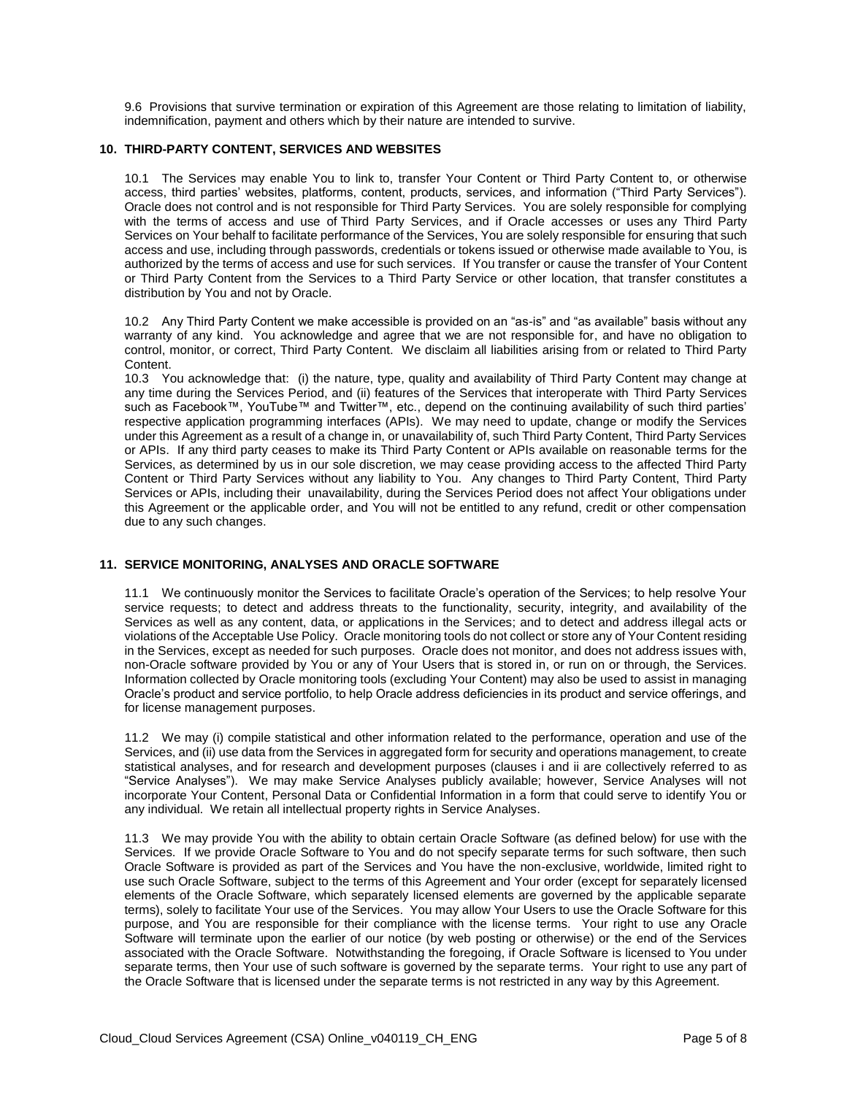9.6 Provisions that survive termination or expiration of this Agreement are those relating to limitation of liability, indemnification, payment and others which by their nature are intended to survive.

#### **10. THIRD-PARTY CONTENT, SERVICES AND WEBSITES**

10.1 The Services may enable You to link to, transfer Your Content or Third Party Content to, or otherwise access, third parties' websites, platforms, content, products, services, and information ("Third Party Services"). Oracle does not control and is not responsible for Third Party Services. You are solely responsible for complying with the terms of access and use of Third Party Services, and if Oracle accesses or uses any Third Party Services on Your behalf to facilitate performance of the Services, You are solely responsible for ensuring that such access and use, including through passwords, credentials or tokens issued or otherwise made available to You, is authorized by the terms of access and use for such services. If You transfer or cause the transfer of Your Content or Third Party Content from the Services to a Third Party Service or other location, that transfer constitutes a distribution by You and not by Oracle.

10.2 Any Third Party Content we make accessible is provided on an "as-is" and "as available" basis without any warranty of any kind. You acknowledge and agree that we are not responsible for, and have no obligation to control, monitor, or correct, Third Party Content. We disclaim all liabilities arising from or related to Third Party Content.

10.3 You acknowledge that: (i) the nature, type, quality and availability of Third Party Content may change at any time during the Services Period, and (ii) features of the Services that interoperate with Third Party Services such as Facebook™, YouTube™ and Twitter™, etc., depend on the continuing availability of such third parties' respective application programming interfaces (APIs). We may need to update, change or modify the Services under this Agreement as a result of a change in, or unavailability of, such Third Party Content, Third Party Services or APIs. If any third party ceases to make its Third Party Content or APIs available on reasonable terms for the Services, as determined by us in our sole discretion, we may cease providing access to the affected Third Party Content or Third Party Services without any liability to You. Any changes to Third Party Content, Third Party Services or APIs, including their unavailability, during the Services Period does not affect Your obligations under this Agreement or the applicable order, and You will not be entitled to any refund, credit or other compensation due to any such changes.

#### **11. SERVICE MONITORING, ANALYSES AND ORACLE SOFTWARE**

11.1 We continuously monitor the Services to facilitate Oracle's operation of the Services; to help resolve Your service requests; to detect and address threats to the functionality, security, integrity, and availability of the Services as well as any content, data, or applications in the Services; and to detect and address illegal acts or violations of the Acceptable Use Policy. Oracle monitoring tools do not collect or store any of Your Content residing in the Services, except as needed for such purposes. Oracle does not monitor, and does not address issues with, non-Oracle software provided by You or any of Your Users that is stored in, or run on or through, the Services. Information collected by Oracle monitoring tools (excluding Your Content) may also be used to assist in managing Oracle's product and service portfolio, to help Oracle address deficiencies in its product and service offerings, and for license management purposes.

11.2 We may (i) compile statistical and other information related to the performance, operation and use of the Services, and (ii) use data from the Services in aggregated form for security and operations management, to create statistical analyses, and for research and development purposes (clauses i and ii are collectively referred to as "Service Analyses"). We may make Service Analyses publicly available; however, Service Analyses will not incorporate Your Content, Personal Data or Confidential Information in a form that could serve to identify You or any individual. We retain all intellectual property rights in Service Analyses.

11.3 We may provide You with the ability to obtain certain Oracle Software (as defined below) for use with the Services. If we provide Oracle Software to You and do not specify separate terms for such software, then such Oracle Software is provided as part of the Services and You have the non-exclusive, worldwide, limited right to use such Oracle Software, subject to the terms of this Agreement and Your order (except for separately licensed elements of the Oracle Software, which separately licensed elements are governed by the applicable separate terms), solely to facilitate Your use of the Services. You may allow Your Users to use the Oracle Software for this purpose, and You are responsible for their compliance with the license terms. Your right to use any Oracle Software will terminate upon the earlier of our notice (by web posting or otherwise) or the end of the Services associated with the Oracle Software. Notwithstanding the foregoing, if Oracle Software is licensed to You under separate terms, then Your use of such software is governed by the separate terms. Your right to use any part of the Oracle Software that is licensed under the separate terms is not restricted in any way by this Agreement.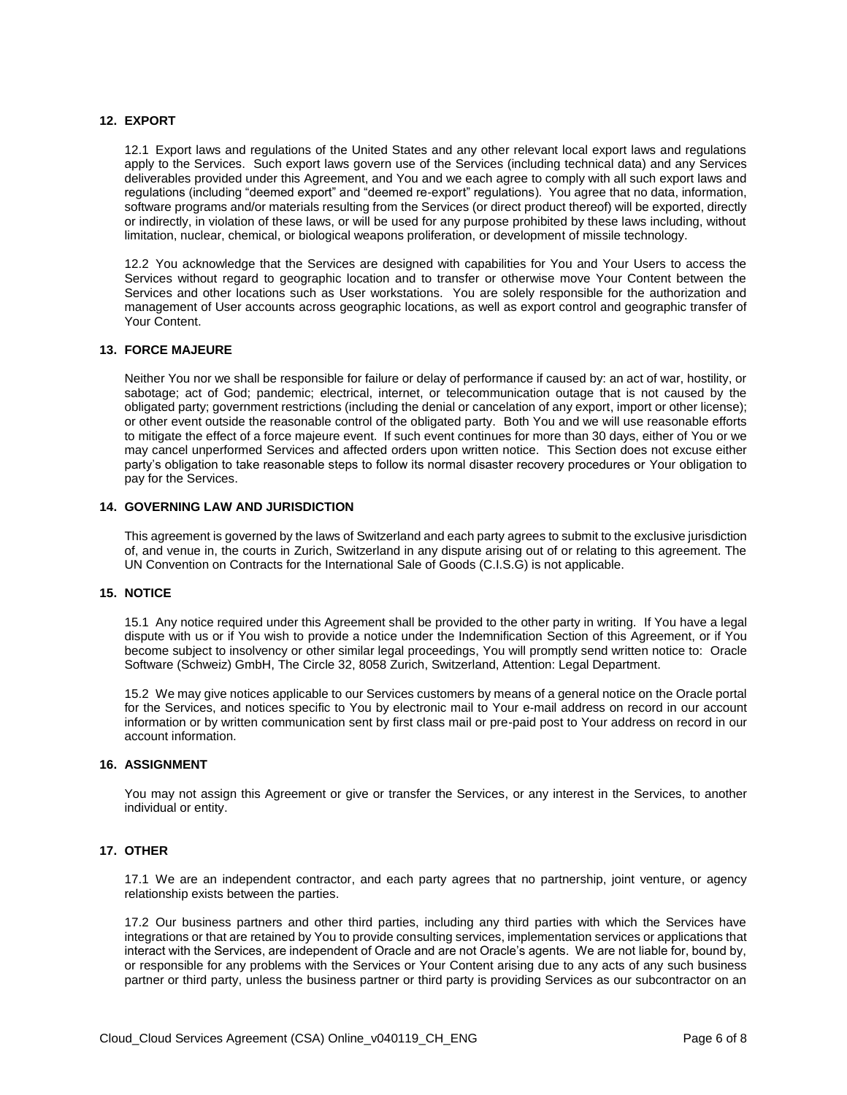#### **12. EXPORT**

12.1 Export laws and regulations of the United States and any other relevant local export laws and regulations apply to the Services. Such export laws govern use of the Services (including technical data) and any Services deliverables provided under this Agreement, and You and we each agree to comply with all such export laws and regulations (including "deemed export" and "deemed re-export" regulations). You agree that no data, information, software programs and/or materials resulting from the Services (or direct product thereof) will be exported, directly or indirectly, in violation of these laws, or will be used for any purpose prohibited by these laws including, without limitation, nuclear, chemical, or biological weapons proliferation, or development of missile technology.

12.2 You acknowledge that the Services are designed with capabilities for You and Your Users to access the Services without regard to geographic location and to transfer or otherwise move Your Content between the Services and other locations such as User workstations. You are solely responsible for the authorization and management of User accounts across geographic locations, as well as export control and geographic transfer of Your Content.

#### **13. FORCE MAJEURE**

Neither You nor we shall be responsible for failure or delay of performance if caused by: an act of war, hostility, or sabotage; act of God; pandemic; electrical, internet, or telecommunication outage that is not caused by the obligated party; government restrictions (including the denial or cancelation of any export, import or other license); or other event outside the reasonable control of the obligated party. Both You and we will use reasonable efforts to mitigate the effect of a force majeure event. If such event continues for more than 30 days, either of You or we may cancel unperformed Services and affected orders upon written notice. This Section does not excuse either party's obligation to take reasonable steps to follow its normal disaster recovery procedures or Your obligation to pay for the Services.

#### **14. GOVERNING LAW AND JURISDICTION**

This agreement is governed by the laws of Switzerland and each party agrees to submit to the exclusive jurisdiction of, and venue in, the courts in Zurich, Switzerland in any dispute arising out of or relating to this agreement. The UN Convention on Contracts for the International Sale of Goods (C.I.S.G) is not applicable.

#### **15. NOTICE**

15.1 Any notice required under this Agreement shall be provided to the other party in writing. If You have a legal dispute with us or if You wish to provide a notice under the Indemnification Section of this Agreement, or if You become subject to insolvency or other similar legal proceedings, You will promptly send written notice to: Oracle Software (Schweiz) GmbH, The Circle 32, 8058 Zurich, Switzerland, Attention: Legal Department.

15.2 We may give notices applicable to our Services customers by means of a general notice on the Oracle portal for the Services, and notices specific to You by electronic mail to Your e-mail address on record in our account information or by written communication sent by first class mail or pre-paid post to Your address on record in our account information.

#### **16. ASSIGNMENT**

You may not assign this Agreement or give or transfer the Services, or any interest in the Services, to another individual or entity.

#### **17. OTHER**

17.1 We are an independent contractor, and each party agrees that no partnership, joint venture, or agency relationship exists between the parties.

17.2 Our business partners and other third parties, including any third parties with which the Services have integrations or that are retained by You to provide consulting services, implementation services or applications that interact with the Services, are independent of Oracle and are not Oracle's agents. We are not liable for, bound by, or responsible for any problems with the Services or Your Content arising due to any acts of any such business partner or third party, unless the business partner or third party is providing Services as our subcontractor on an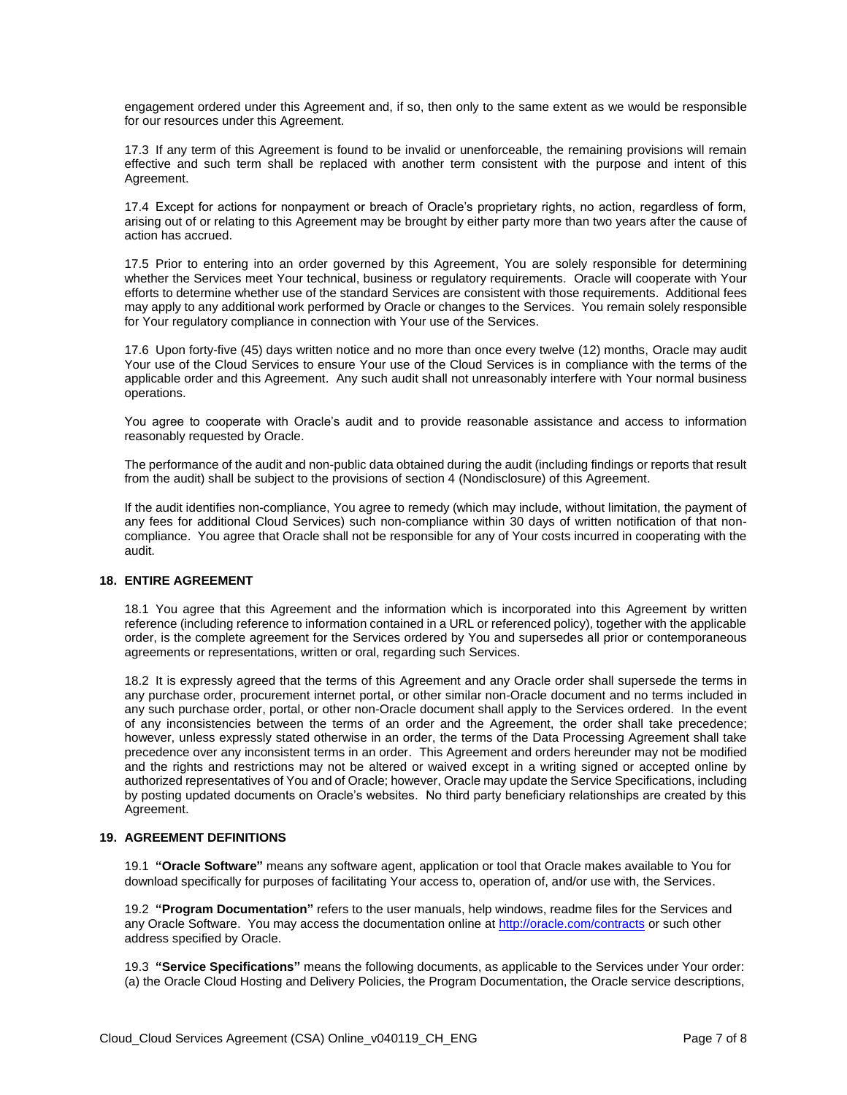engagement ordered under this Agreement and, if so, then only to the same extent as we would be responsible for our resources under this Agreement.

17.3 If any term of this Agreement is found to be invalid or unenforceable, the remaining provisions will remain effective and such term shall be replaced with another term consistent with the purpose and intent of this Agreement.

17.4 Except for actions for nonpayment or breach of Oracle's proprietary rights, no action, regardless of form, arising out of or relating to this Agreement may be brought by either party more than two years after the cause of action has accrued.

17.5 Prior to entering into an order governed by this Agreement, You are solely responsible for determining whether the Services meet Your technical, business or regulatory requirements. Oracle will cooperate with Your efforts to determine whether use of the standard Services are consistent with those requirements. Additional fees may apply to any additional work performed by Oracle or changes to the Services. You remain solely responsible for Your regulatory compliance in connection with Your use of the Services.

17.6 Upon forty-five (45) days written notice and no more than once every twelve (12) months, Oracle may audit Your use of the Cloud Services to ensure Your use of the Cloud Services is in compliance with the terms of the applicable order and this Agreement. Any such audit shall not unreasonably interfere with Your normal business operations.

You agree to cooperate with Oracle's audit and to provide reasonable assistance and access to information reasonably requested by Oracle.

The performance of the audit and non-public data obtained during the audit (including findings or reports that result from the audit) shall be subject to the provisions of section 4 (Nondisclosure) of this Agreement.

If the audit identifies non-compliance, You agree to remedy (which may include, without limitation, the payment of any fees for additional Cloud Services) such non-compliance within 30 days of written notification of that noncompliance. You agree that Oracle shall not be responsible for any of Your costs incurred in cooperating with the audit.

#### **18. ENTIRE AGREEMENT**

18.1 You agree that this Agreement and the information which is incorporated into this Agreement by written reference (including reference to information contained in a URL or referenced policy), together with the applicable order, is the complete agreement for the Services ordered by You and supersedes all prior or contemporaneous agreements or representations, written or oral, regarding such Services.

18.2 It is expressly agreed that the terms of this Agreement and any Oracle order shall supersede the terms in any purchase order, procurement internet portal, or other similar non-Oracle document and no terms included in any such purchase order, portal, or other non-Oracle document shall apply to the Services ordered. In the event of any inconsistencies between the terms of an order and the Agreement, the order shall take precedence; however, unless expressly stated otherwise in an order, the terms of the Data Processing Agreement shall take precedence over any inconsistent terms in an order. This Agreement and orders hereunder may not be modified and the rights and restrictions may not be altered or waived except in a writing signed or accepted online by authorized representatives of You and of Oracle; however, Oracle may update the Service Specifications, including by posting updated documents on Oracle's websites. No third party beneficiary relationships are created by this Agreement.

#### **19. AGREEMENT DEFINITIONS**

19.1 **"Oracle Software"** means any software agent, application or tool that Oracle makes available to You for download specifically for purposes of facilitating Your access to, operation of, and/or use with, the Services.

19.2 **"Program Documentation"** refers to the user manuals, help windows, readme files for the Services and any Oracle Software. You may access the documentation online a[t http://oracle.com/contracts](http://oracle.com/contracts) or such other address specified by Oracle.

19.3 **"Service Specifications"** means the following documents, as applicable to the Services under Your order: (a) the Oracle Cloud Hosting and Delivery Policies, the Program Documentation, the Oracle service descriptions,